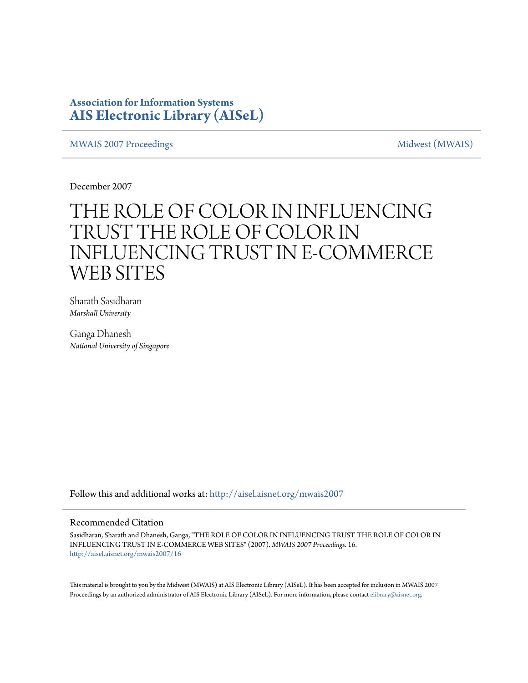### **Association for Information Systems [AIS Electronic Library \(AISeL\)](http://aisel.aisnet.org?utm_source=aisel.aisnet.org%2Fmwais2007%2F16&utm_medium=PDF&utm_campaign=PDFCoverPages)**

[MWAIS 2007 Proceedings](http://aisel.aisnet.org/mwais2007?utm_source=aisel.aisnet.org%2Fmwais2007%2F16&utm_medium=PDF&utm_campaign=PDFCoverPages) and the matrix of the [Midwest \(MWAIS\)](http://aisel.aisnet.org/mwais?utm_source=aisel.aisnet.org%2Fmwais2007%2F16&utm_medium=PDF&utm_campaign=PDFCoverPages)

December 2007

# THE ROLE OF COLOR IN INFLUENCING TRUST THE ROLE OF COLOR IN INFLUENCING TRUST IN E-COMMERCE WEB SITES

Sharath Sasidharan *Marshall University*

Ganga Dhanesh *National University of Singapore*

Follow this and additional works at: [http://aisel.aisnet.org/mwais2007](http://aisel.aisnet.org/mwais2007?utm_source=aisel.aisnet.org%2Fmwais2007%2F16&utm_medium=PDF&utm_campaign=PDFCoverPages)

#### Recommended Citation

Sasidharan, Sharath and Dhanesh, Ganga, "THE ROLE OF COLOR IN INFLUENCING TRUST THE ROLE OF COLOR IN INFLUENCING TRUST IN E-COMMERCE WEB SITES" (2007). *MWAIS 2007 Proceedings*. 16. [http://aisel.aisnet.org/mwais2007/16](http://aisel.aisnet.org/mwais2007/16?utm_source=aisel.aisnet.org%2Fmwais2007%2F16&utm_medium=PDF&utm_campaign=PDFCoverPages)

This material is brought to you by the Midwest (MWAIS) at AIS Electronic Library (AISeL). It has been accepted for inclusion in MWAIS 2007 Proceedings by an authorized administrator of AIS Electronic Library (AISeL). For more information, please contact [elibrary@aisnet.org](mailto:elibrary@aisnet.org%3E).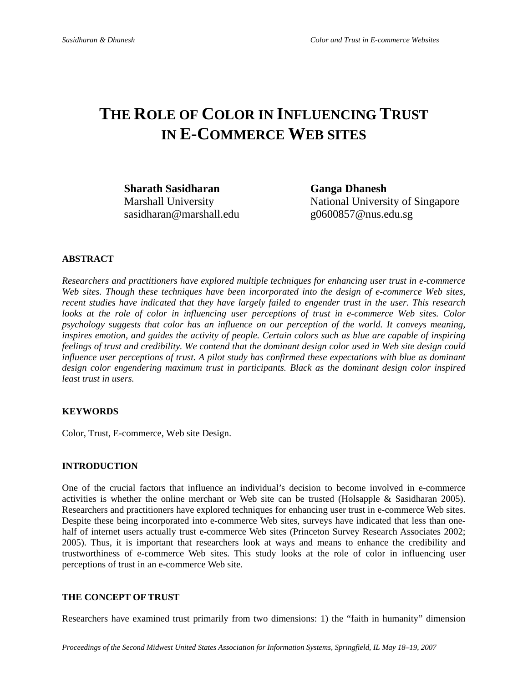## **THE ROLE OF COLOR IN INFLUENCING TRUST IN E-COMMERCE WEB SITES**

**Sharath Sasidharan Ganga Dhanesh**  sasidharan@marshall.edu g0600857@nus.edu.sg

Marshall University National University of Singapore

#### **ABSTRACT**

*Researchers and practitioners have explored multiple techniques for enhancing user trust in e-commerce Web sites. Though these techniques have been incorporated into the design of e-commerce Web sites, recent studies have indicated that they have largely failed to engender trust in the user. This research*  looks at the role of color in influencing user perceptions of trust in e-commerce Web sites. Color *psychology suggests that color has an influence on our perception of the world. It conveys meaning, inspires emotion, and guides the activity of people. Certain colors such as blue are capable of inspiring feelings of trust and credibility. We contend that the dominant design color used in Web site design could influence user perceptions of trust. A pilot study has confirmed these expectations with blue as dominant design color engendering maximum trust in participants. Black as the dominant design color inspired least trust in users.* 

#### **KEYWORDS**

Color, Trust, E-commerce, Web site Design.

#### **INTRODUCTION**

One of the crucial factors that influence an individual's decision to become involved in e-commerce activities is whether the online merchant or Web site can be trusted (Holsapple & Sasidharan 2005). Researchers and practitioners have explored techniques for enhancing user trust in e-commerce Web sites. Despite these being incorporated into e-commerce Web sites, surveys have indicated that less than onehalf of internet users actually trust e-commerce Web sites (Princeton Survey Research Associates 2002; 2005). Thus, it is important that researchers look at ways and means to enhance the credibility and trustworthiness of e-commerce Web sites. This study looks at the role of color in influencing user perceptions of trust in an e-commerce Web site.

#### **THE CONCEPT OF TRUST**

Researchers have examined trust primarily from two dimensions: 1) the "faith in humanity" dimension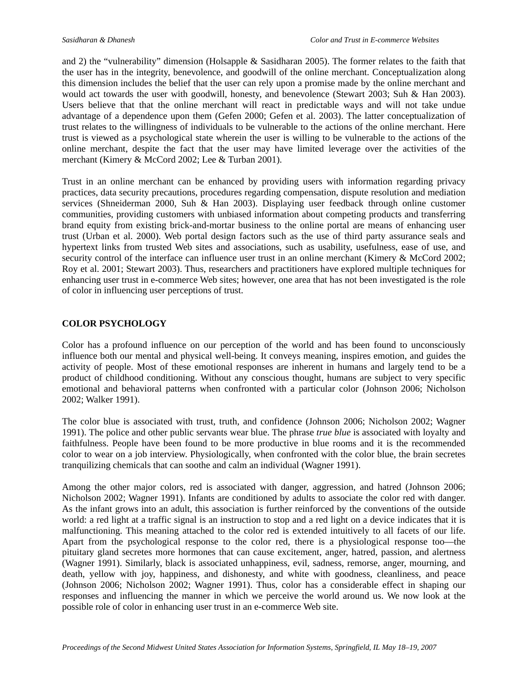and 2) the "vulnerability" dimension (Holsapple & Sasidharan 2005). The former relates to the faith that the user has in the integrity, benevolence, and goodwill of the online merchant. Conceptualization along this dimension includes the belief that the user can rely upon a promise made by the online merchant and would act towards the user with goodwill, honesty, and benevolence (Stewart 2003; Suh & Han 2003). Users believe that that the online merchant will react in predictable ways and will not take undue advantage of a dependence upon them (Gefen 2000; Gefen et al. 2003). The latter conceptualization of trust relates to the willingness of individuals to be vulnerable to the actions of the online merchant. Here trust is viewed as a psychological state wherein the user is willing to be vulnerable to the actions of the online merchant, despite the fact that the user may have limited leverage over the activities of the merchant (Kimery & McCord 2002; Lee & Turban 2001).

Trust in an online merchant can be enhanced by providing users with information regarding privacy practices, data security precautions, procedures regarding compensation, dispute resolution and mediation services (Shneiderman 2000, Suh & Han 2003). Displaying user feedback through online customer communities, providing customers with unbiased information about competing products and transferring brand equity from existing brick-and-mortar business to the online portal are means of enhancing user trust (Urban et al. 2000). Web portal design factors such as the use of third party assurance seals and hypertext links from trusted Web sites and associations, such as usability, usefulness, ease of use, and security control of the interface can influence user trust in an online merchant (Kimery & McCord 2002; Roy et al. 2001; Stewart 2003). Thus, researchers and practitioners have explored multiple techniques for enhancing user trust in e-commerce Web sites; however, one area that has not been investigated is the role of color in influencing user perceptions of trust.

#### **COLOR PSYCHOLOGY**

Color has a profound influence on our perception of the world and has been found to unconsciously influence both our mental and physical well-being. It conveys meaning, inspires emotion, and guides the activity of people. Most of these emotional responses are inherent in humans and largely tend to be a product of childhood conditioning. Without any conscious thought, humans are subject to very specific emotional and behavioral patterns when confronted with a particular color (Johnson 2006; Nicholson 2002; Walker 1991).

The color blue is associated with trust, truth, and confidence (Johnson 2006; Nicholson 2002; Wagner 1991). The police and other public servants wear blue. The phrase *true blue* is associated with loyalty and faithfulness. People have been found to be more productive in blue rooms and it is the recommended color to wear on a job interview. Physiologically, when confronted with the color blue, the brain secretes tranquilizing chemicals that can soothe and calm an individual (Wagner 1991).

Among the other major colors, red is associated with danger, aggression, and hatred (Johnson 2006; Nicholson 2002; Wagner 1991). Infants are conditioned by adults to associate the color red with danger. As the infant grows into an adult, this association is further reinforced by the conventions of the outside world: a red light at a traffic signal is an instruction to stop and a red light on a device indicates that it is malfunctioning. This meaning attached to the color red is extended intuitively to all facets of our life. Apart from the psychological response to the color red, there is a physiological response too—the pituitary gland secretes more hormones that can cause excitement, anger, hatred, passion, and alertness (Wagner 1991). Similarly, black is associated unhappiness, evil, sadness, remorse, anger, mourning, and death, yellow with joy, happiness, and dishonesty, and white with goodness, cleanliness, and peace (Johnson 2006; Nicholson 2002; Wagner 1991). Thus, color has a considerable effect in shaping our responses and influencing the manner in which we perceive the world around us. We now look at the possible role of color in enhancing user trust in an e-commerce Web site.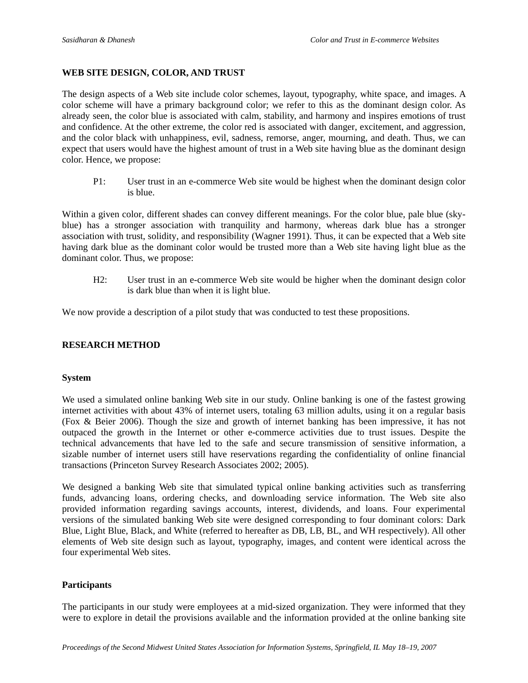#### **WEB SITE DESIGN, COLOR, AND TRUST**

The design aspects of a Web site include color schemes, layout, typography, white space, and images. A color scheme will have a primary background color; we refer to this as the dominant design color. As already seen, the color blue is associated with calm, stability, and harmony and inspires emotions of trust and confidence. At the other extreme, the color red is associated with danger, excitement, and aggression, and the color black with unhappiness, evil, sadness, remorse, anger, mourning, and death. Thus, we can expect that users would have the highest amount of trust in a Web site having blue as the dominant design color. Hence, we propose:

P1: User trust in an e-commerce Web site would be highest when the dominant design color is blue.

Within a given color, different shades can convey different meanings. For the color blue, pale blue (skyblue) has a stronger association with tranquility and harmony, whereas dark blue has a stronger association with trust, solidity, and responsibility (Wagner 1991). Thus, it can be expected that a Web site having dark blue as the dominant color would be trusted more than a Web site having light blue as the dominant color. Thus, we propose:

H2: User trust in an e-commerce Web site would be higher when the dominant design color is dark blue than when it is light blue.

We now provide a description of a pilot study that was conducted to test these propositions.

#### **RESEARCH METHOD**

#### **System**

We used a simulated online banking Web site in our study. Online banking is one of the fastest growing internet activities with about 43% of internet users, totaling 63 million adults, using it on a regular basis (Fox & Beier 2006). Though the size and growth of internet banking has been impressive, it has not outpaced the growth in the Internet or other e-commerce activities due to trust issues. Despite the technical advancements that have led to the safe and secure transmission of sensitive information, a sizable number of internet users still have reservations regarding the confidentiality of online financial transactions (Princeton Survey Research Associates 2002; 2005).

We designed a banking Web site that simulated typical online banking activities such as transferring funds, advancing loans, ordering checks, and downloading service information. The Web site also provided information regarding savings accounts, interest, dividends, and loans. Four experimental versions of the simulated banking Web site were designed corresponding to four dominant colors: Dark Blue, Light Blue, Black, and White (referred to hereafter as DB, LB, BL, and WH respectively). All other elements of Web site design such as layout, typography, images, and content were identical across the four experimental Web sites.

#### **Participants**

The participants in our study were employees at a mid-sized organization. They were informed that they were to explore in detail the provisions available and the information provided at the online banking site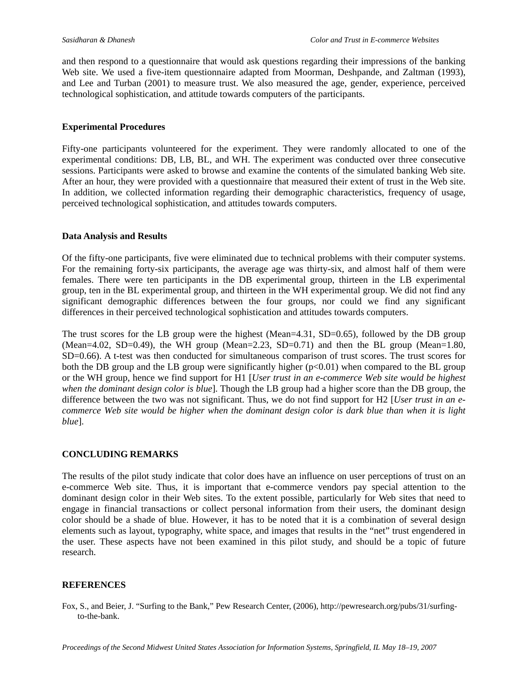and then respond to a questionnaire that would ask questions regarding their impressions of the banking Web site. We used a five-item questionnaire adapted from Moorman, Deshpande, and Zaltman (1993), and Lee and Turban (2001) to measure trust. We also measured the age, gender, experience, perceived technological sophistication, and attitude towards computers of the participants.

#### **Experimental Procedures**

Fifty-one participants volunteered for the experiment. They were randomly allocated to one of the experimental conditions: DB, LB, BL, and WH. The experiment was conducted over three consecutive sessions. Participants were asked to browse and examine the contents of the simulated banking Web site. After an hour, they were provided with a questionnaire that measured their extent of trust in the Web site. In addition, we collected information regarding their demographic characteristics, frequency of usage, perceived technological sophistication, and attitudes towards computers.

#### **Data Analysis and Results**

Of the fifty-one participants, five were eliminated due to technical problems with their computer systems. For the remaining forty-six participants, the average age was thirty-six, and almost half of them were females. There were ten participants in the DB experimental group, thirteen in the LB experimental group, ten in the BL experimental group, and thirteen in the WH experimental group. We did not find any significant demographic differences between the four groups, nor could we find any significant differences in their perceived technological sophistication and attitudes towards computers.

The trust scores for the LB group were the highest (Mean=4.31, SD=0.65), followed by the DB group (Mean=4.02, SD=0.49), the WH group (Mean=2.23, SD=0.71) and then the BL group (Mean=1.80, SD=0.66). A t-test was then conducted for simultaneous comparison of trust scores. The trust scores for both the DB group and the LB group were significantly higher  $(p<0.01)$  when compared to the BL group or the WH group, hence we find support for H1 [*User trust in an e-commerce Web site would be highest when the dominant design color is blue*]. Though the LB group had a higher score than the DB group, the difference between the two was not significant. Thus, we do not find support for H2 [*User trust in an ecommerce Web site would be higher when the dominant design color is dark blue than when it is light blue*].

#### **CONCLUDING REMARKS**

The results of the pilot study indicate that color does have an influence on user perceptions of trust on an e-commerce Web site. Thus, it is important that e-commerce vendors pay special attention to the dominant design color in their Web sites. To the extent possible, particularly for Web sites that need to engage in financial transactions or collect personal information from their users, the dominant design color should be a shade of blue. However, it has to be noted that it is a combination of several design elements such as layout, typography, white space, and images that results in the "net" trust engendered in the user. These aspects have not been examined in this pilot study, and should be a topic of future research.

#### **REFERENCES**

Fox, S., and Beier, J. "Surfing to the Bank," Pew Research Center, (2006), http://pewresearch.org/pubs/31/surfingto-the-bank.